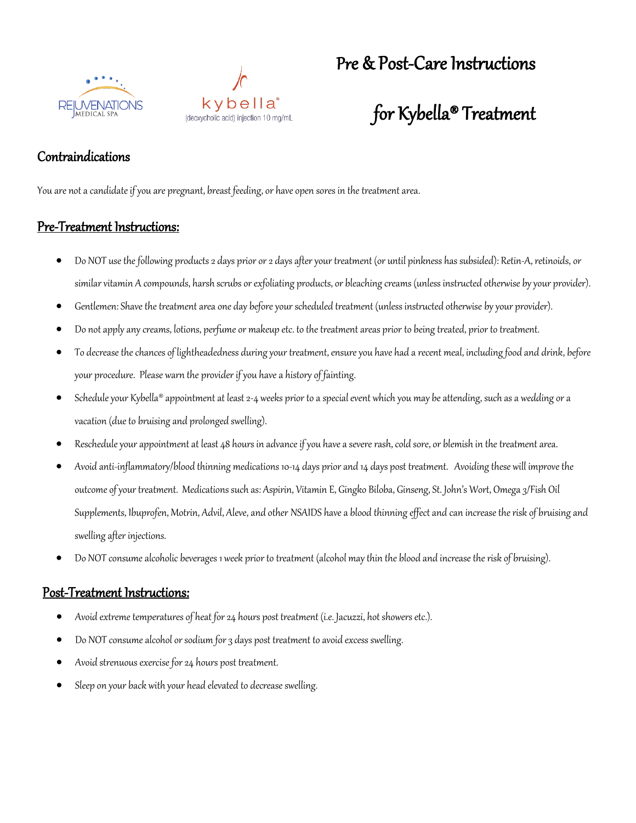



## Pre & Post-Care Instructions

# for Kybella® Treatment

### Contraindications

You are not a candidate if you are pregnant, breast feeding, or have open sores in the treatment area.

#### Pre-Treatment Instructions:

- Do NOT use the following products 2 days prior or 2 days after your treatment (or until pinkness has subsided): Retin-A, retinoids, or similar vitamin A compounds, harsh scrubs or exfoliating products, or bleaching creams (unless instructed otherwise by your provider).
- Gentlemen: Shave the treatment area one day before your scheduled treatment (unless instructed otherwise by your provider).
- Do not apply any creams, lotions, perfume or makeup etc. to the treatment areas prior to being treated, prior to treatment.
- To decrease the chances of lightheadedness during your treatment, ensure you have had a recent meal, including food and drink, before your procedure. Please warn the provider if you have a history of fainting.
- Schedule your Kybella® appointment at least 2-4 weeks prior to a special event which you may be attending, such as a wedding or a vacation (due to bruising and prolonged swelling).
- Reschedule your appointment at least 48 hours in advance if you have a severe rash, cold sore, or blemish in the treatment area.
- Avoid anti-inflammatory/blood thinning medications 10-14 days prior and 14 days post treatment. Avoiding these will improve the outcome of your treatment. Medications such as: Aspirin, Vitamin E, Gingko Biloba, Ginseng, St. John's Wort, Omega 3/Fish Oil Supplements, Ibuprofen, Motrin, Advil, Aleve, and other NSAIDS have a blood thinning effect and can increase the risk of bruising and swelling after injections.
- Do NOT consume alcoholic beverages 1 week prior to treatment (alcohol may thin the blood and increase the risk of bruising).

#### Post-Treatment Instructions:

- Avoid extreme temperatures of heat for 24 hours post treatment (i.e. Jacuzzi, hot showers etc.).
- Do NOT consume alcohol or sodium for 3 days post treatment to avoid excess swelling.
- Avoid strenuous exercise for 24 hours post treatment.
- Sleep on your back with your head elevated to decrease swelling.